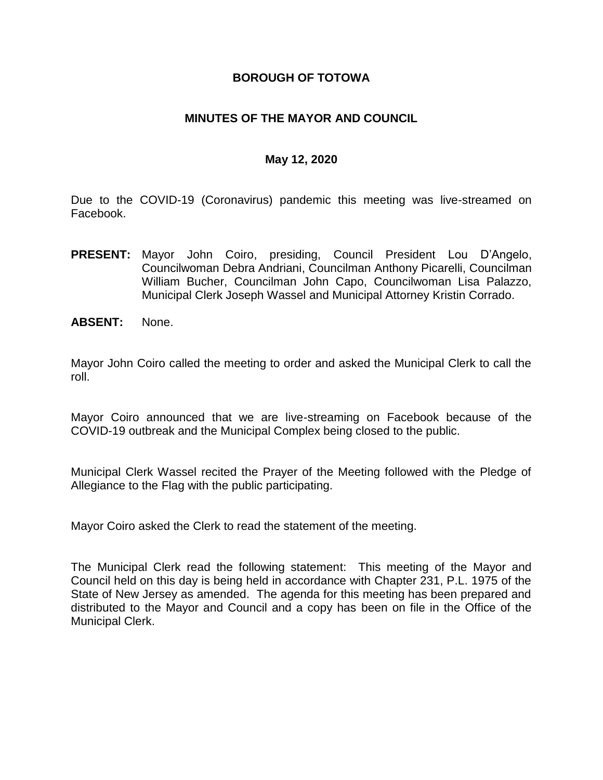### **BOROUGH OF TOTOWA**

### **MINUTES OF THE MAYOR AND COUNCIL**

### **May 12, 2020**

Due to the COVID-19 (Coronavirus) pandemic this meeting was live-streamed on Facebook.

- **PRESENT:** Mayor John Coiro, presiding, Council President Lou D'Angelo, Councilwoman Debra Andriani, Councilman Anthony Picarelli, Councilman William Bucher, Councilman John Capo, Councilwoman Lisa Palazzo, Municipal Clerk Joseph Wassel and Municipal Attorney Kristin Corrado.
- **ABSENT:** None.

Mayor John Coiro called the meeting to order and asked the Municipal Clerk to call the roll.

Mayor Coiro announced that we are live-streaming on Facebook because of the COVID-19 outbreak and the Municipal Complex being closed to the public.

Municipal Clerk Wassel recited the Prayer of the Meeting followed with the Pledge of Allegiance to the Flag with the public participating.

Mayor Coiro asked the Clerk to read the statement of the meeting.

The Municipal Clerk read the following statement: This meeting of the Mayor and Council held on this day is being held in accordance with Chapter 231, P.L. 1975 of the State of New Jersey as amended. The agenda for this meeting has been prepared and distributed to the Mayor and Council and a copy has been on file in the Office of the Municipal Clerk.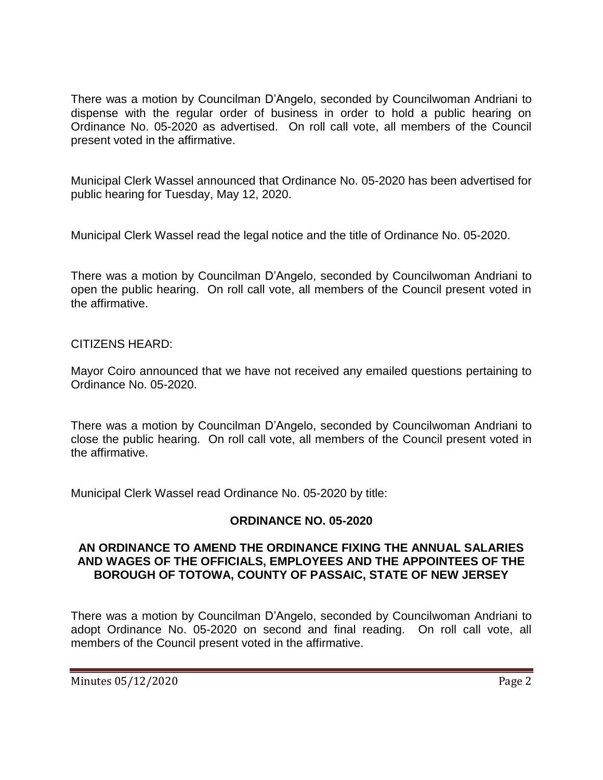There was a motion by Councilman D'Angelo, seconded by Councilwoman Andriani to dispense with the regular order of business in order to hold a public hearing on Ordinance No. 05-2020 as advertised. On roll call vote, all members of the Council present voted in the affirmative.

Municipal Clerk Wassel announced that Ordinance No. 05-2020 has been advertised for public hearing for Tuesday, May 12, 2020.

Municipal Clerk Wassel read the legal notice and the title of Ordinance No. 05-2020.

There was a motion by Councilman D'Angelo, seconded by Councilwoman Andriani to open the public hearing. On roll call vote, all members of the Council present voted in the affirmative.

## CITIZENS HEARD:

Mayor Coiro announced that we have not received any emailed questions pertaining to Ordinance No. 05-2020.

There was a motion by Councilman D'Angelo, seconded by Councilwoman Andriani to close the public hearing. On roll call vote, all members of the Council present voted in the affirmative.

Municipal Clerk Wassel read Ordinance No. 05-2020 by title:

## **ORDINANCE NO. 05-2020**

### **AN ORDINANCE TO AMEND THE ORDINANCE FIXING THE ANNUAL SALARIES AND WAGES OF THE OFFICIALS, EMPLOYEES AND THE APPOINTEES OF THE BOROUGH OF TOTOWA, COUNTY OF PASSAIC, STATE OF NEW JERSEY**

There was a motion by Councilman D'Angelo, seconded by Councilwoman Andriani to adopt Ordinance No. 05-2020 on second and final reading. On roll call vote, all members of the Council present voted in the affirmative.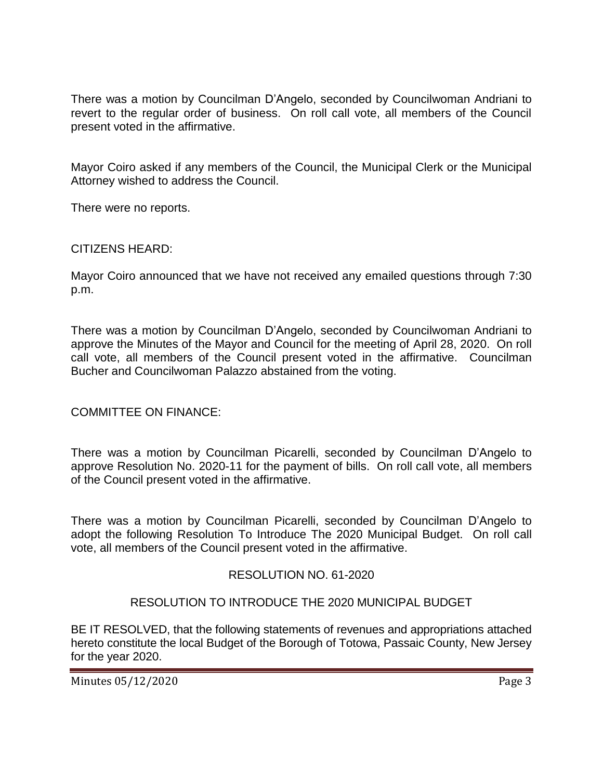There was a motion by Councilman D'Angelo, seconded by Councilwoman Andriani to revert to the regular order of business. On roll call vote, all members of the Council present voted in the affirmative.

Mayor Coiro asked if any members of the Council, the Municipal Clerk or the Municipal Attorney wished to address the Council.

There were no reports.

#### CITIZENS HEARD:

Mayor Coiro announced that we have not received any emailed questions through 7:30 p.m.

There was a motion by Councilman D'Angelo, seconded by Councilwoman Andriani to approve the Minutes of the Mayor and Council for the meeting of April 28, 2020. On roll call vote, all members of the Council present voted in the affirmative. Councilman Bucher and Councilwoman Palazzo abstained from the voting.

## COMMITTEE ON FINANCE:

There was a motion by Councilman Picarelli, seconded by Councilman D'Angelo to approve Resolution No. 2020-11 for the payment of bills. On roll call vote, all members of the Council present voted in the affirmative.

There was a motion by Councilman Picarelli, seconded by Councilman D'Angelo to adopt the following Resolution To Introduce The 2020 Municipal Budget. On roll call vote, all members of the Council present voted in the affirmative.

## RESOLUTION NO. 61-2020

#### RESOLUTION TO INTRODUCE THE 2020 MUNICIPAL BUDGET

BE IT RESOLVED, that the following statements of revenues and appropriations attached hereto constitute the local Budget of the Borough of Totowa, Passaic County, New Jersey for the year 2020.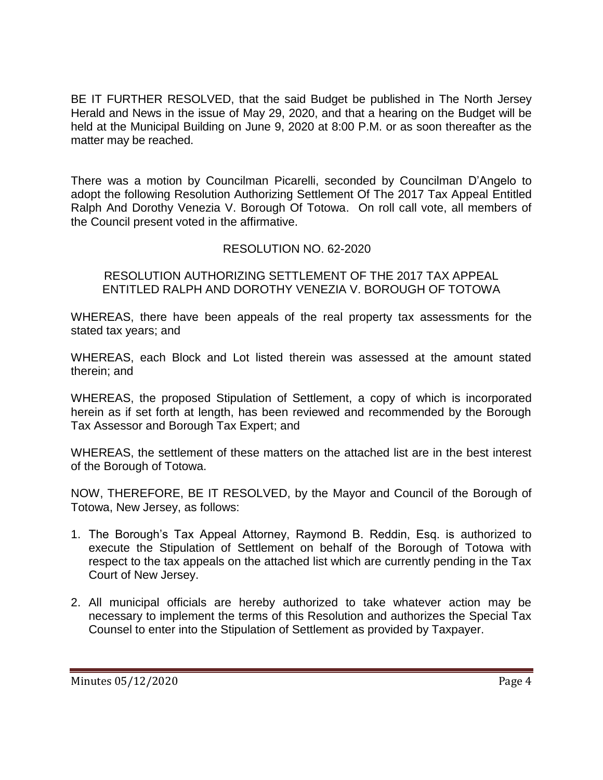BE IT FURTHER RESOLVED, that the said Budget be published in The North Jersey Herald and News in the issue of May 29, 2020, and that a hearing on the Budget will be held at the Municipal Building on June 9, 2020 at 8:00 P.M. or as soon thereafter as the matter may be reached.

There was a motion by Councilman Picarelli, seconded by Councilman D'Angelo to adopt the following Resolution Authorizing Settlement Of The 2017 Tax Appeal Entitled Ralph And Dorothy Venezia V. Borough Of Totowa. On roll call vote, all members of the Council present voted in the affirmative.

## RESOLUTION NO. 62-2020

RESOLUTION AUTHORIZING SETTLEMENT OF THE 2017 TAX APPEAL ENTITLED RALPH AND DOROTHY VENEZIA V. BOROUGH OF TOTOWA

WHEREAS, there have been appeals of the real property tax assessments for the stated tax years; and

WHEREAS, each Block and Lot listed therein was assessed at the amount stated therein; and

WHEREAS, the proposed Stipulation of Settlement, a copy of which is incorporated herein as if set forth at length, has been reviewed and recommended by the Borough Tax Assessor and Borough Tax Expert; and

WHEREAS, the settlement of these matters on the attached list are in the best interest of the Borough of Totowa.

NOW, THEREFORE, BE IT RESOLVED, by the Mayor and Council of the Borough of Totowa, New Jersey, as follows:

- 1. The Borough's Tax Appeal Attorney, Raymond B. Reddin, Esq. is authorized to execute the Stipulation of Settlement on behalf of the Borough of Totowa with respect to the tax appeals on the attached list which are currently pending in the Tax Court of New Jersey.
- 2. All municipal officials are hereby authorized to take whatever action may be necessary to implement the terms of this Resolution and authorizes the Special Tax Counsel to enter into the Stipulation of Settlement as provided by Taxpayer.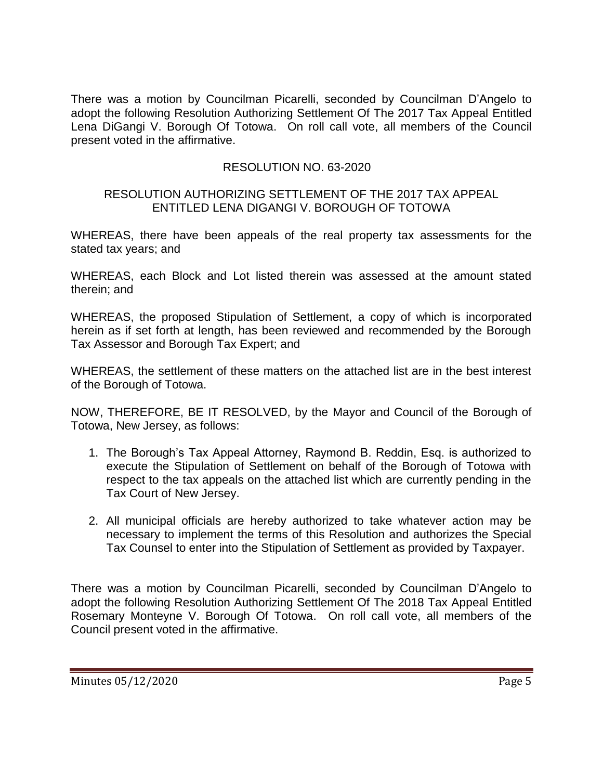There was a motion by Councilman Picarelli, seconded by Councilman D'Angelo to adopt the following Resolution Authorizing Settlement Of The 2017 Tax Appeal Entitled Lena DiGangi V. Borough Of Totowa. On roll call vote, all members of the Council present voted in the affirmative.

## RESOLUTION NO. 63-2020

#### RESOLUTION AUTHORIZING SETTLEMENT OF THE 2017 TAX APPEAL ENTITLED LENA DIGANGI V. BOROUGH OF TOTOWA

WHEREAS, there have been appeals of the real property tax assessments for the stated tax years; and

WHEREAS, each Block and Lot listed therein was assessed at the amount stated therein; and

WHEREAS, the proposed Stipulation of Settlement, a copy of which is incorporated herein as if set forth at length, has been reviewed and recommended by the Borough Tax Assessor and Borough Tax Expert; and

WHEREAS, the settlement of these matters on the attached list are in the best interest of the Borough of Totowa.

NOW, THEREFORE, BE IT RESOLVED, by the Mayor and Council of the Borough of Totowa, New Jersey, as follows:

- 1. The Borough's Tax Appeal Attorney, Raymond B. Reddin, Esq. is authorized to execute the Stipulation of Settlement on behalf of the Borough of Totowa with respect to the tax appeals on the attached list which are currently pending in the Tax Court of New Jersey.
- 2. All municipal officials are hereby authorized to take whatever action may be necessary to implement the terms of this Resolution and authorizes the Special Tax Counsel to enter into the Stipulation of Settlement as provided by Taxpayer.

There was a motion by Councilman Picarelli, seconded by Councilman D'Angelo to adopt the following Resolution Authorizing Settlement Of The 2018 Tax Appeal Entitled Rosemary Monteyne V. Borough Of Totowa. On roll call vote, all members of the Council present voted in the affirmative.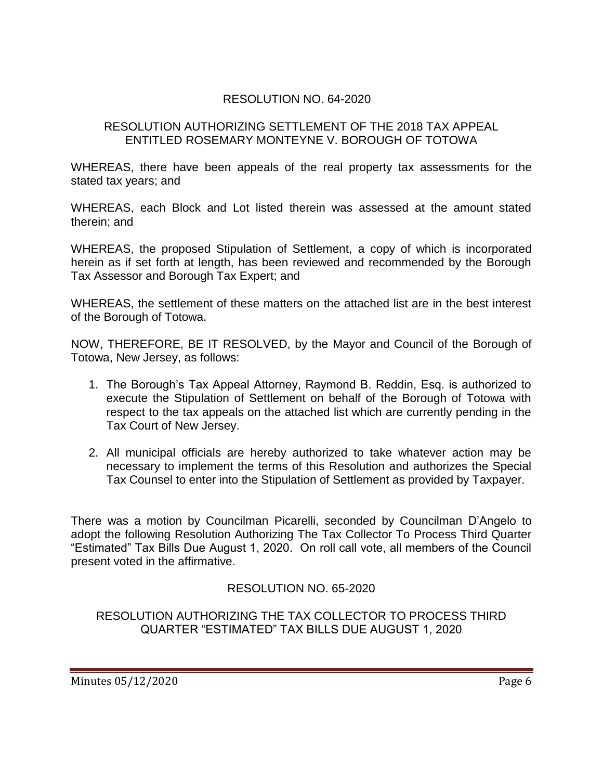## RESOLUTION NO. 64-2020

#### RESOLUTION AUTHORIZING SETTLEMENT OF THE 2018 TAX APPEAL ENTITLED ROSEMARY MONTEYNE V. BOROUGH OF TOTOWA

WHEREAS, there have been appeals of the real property tax assessments for the stated tax years; and

WHEREAS, each Block and Lot listed therein was assessed at the amount stated therein; and

WHEREAS, the proposed Stipulation of Settlement, a copy of which is incorporated herein as if set forth at length, has been reviewed and recommended by the Borough Tax Assessor and Borough Tax Expert; and

WHEREAS, the settlement of these matters on the attached list are in the best interest of the Borough of Totowa.

NOW, THEREFORE, BE IT RESOLVED, by the Mayor and Council of the Borough of Totowa, New Jersey, as follows:

- 1. The Borough's Tax Appeal Attorney, Raymond B. Reddin, Esq. is authorized to execute the Stipulation of Settlement on behalf of the Borough of Totowa with respect to the tax appeals on the attached list which are currently pending in the Tax Court of New Jersey.
- 2. All municipal officials are hereby authorized to take whatever action may be necessary to implement the terms of this Resolution and authorizes the Special Tax Counsel to enter into the Stipulation of Settlement as provided by Taxpayer.

There was a motion by Councilman Picarelli, seconded by Councilman D'Angelo to adopt the following Resolution Authorizing The Tax Collector To Process Third Quarter "Estimated" Tax Bills Due August 1, 2020. On roll call vote, all members of the Council present voted in the affirmative.

## RESOLUTION NO. 65-2020

RESOLUTION AUTHORIZING THE TAX COLLECTOR TO PROCESS THIRD QUARTER "ESTIMATED" TAX BILLS DUE AUGUST 1, 2020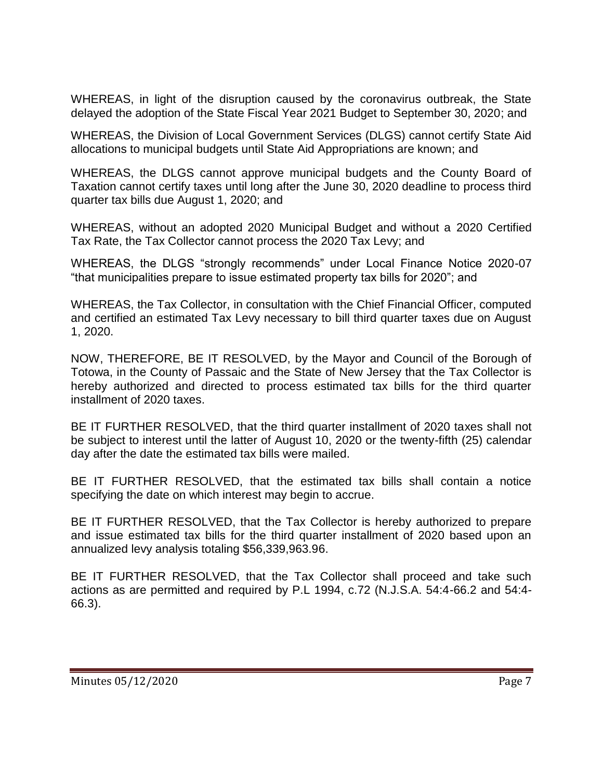WHEREAS, in light of the disruption caused by the coronavirus outbreak, the State delayed the adoption of the State Fiscal Year 2021 Budget to September 30, 2020; and

WHEREAS, the Division of Local Government Services (DLGS) cannot certify State Aid allocations to municipal budgets until State Aid Appropriations are known; and

WHEREAS, the DLGS cannot approve municipal budgets and the County Board of Taxation cannot certify taxes until long after the June 30, 2020 deadline to process third quarter tax bills due August 1, 2020; and

WHEREAS, without an adopted 2020 Municipal Budget and without a 2020 Certified Tax Rate, the Tax Collector cannot process the 2020 Tax Levy; and

WHEREAS, the DLGS "strongly recommends" under Local Finance Notice 2020-07 "that municipalities prepare to issue estimated property tax bills for 2020"; and

WHEREAS, the Tax Collector, in consultation with the Chief Financial Officer, computed and certified an estimated Tax Levy necessary to bill third quarter taxes due on August 1, 2020.

NOW, THEREFORE, BE IT RESOLVED, by the Mayor and Council of the Borough of Totowa, in the County of Passaic and the State of New Jersey that the Tax Collector is hereby authorized and directed to process estimated tax bills for the third quarter installment of 2020 taxes.

BE IT FURTHER RESOLVED, that the third quarter installment of 2020 taxes shall not be subject to interest until the latter of August 10, 2020 or the twenty-fifth (25) calendar day after the date the estimated tax bills were mailed.

BE IT FURTHER RESOLVED, that the estimated tax bills shall contain a notice specifying the date on which interest may begin to accrue.

BE IT FURTHER RESOLVED, that the Tax Collector is hereby authorized to prepare and issue estimated tax bills for the third quarter installment of 2020 based upon an annualized levy analysis totaling \$56,339,963.96.

BE IT FURTHER RESOLVED, that the Tax Collector shall proceed and take such actions as are permitted and required by P.L 1994, c.72 (N.J.S.A. 54:4-66.2 and 54:4- 66.3).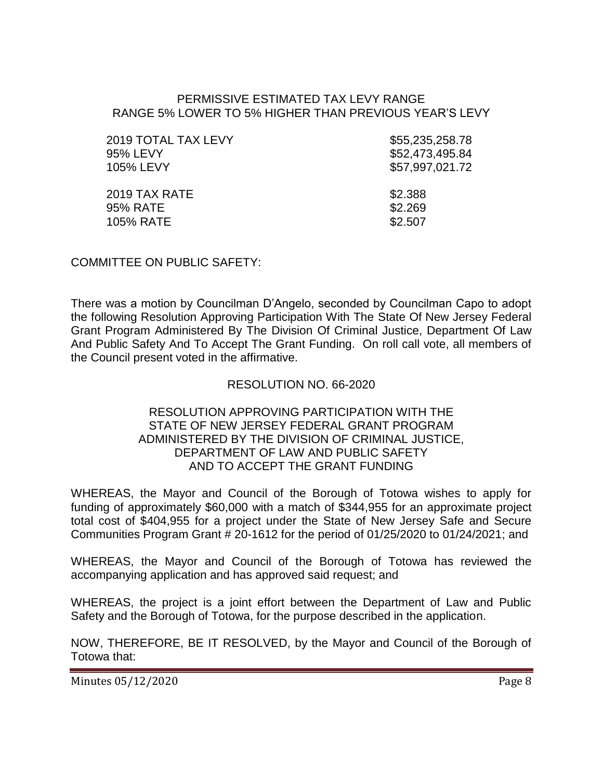#### PERMISSIVE ESTIMATED TAX LEVY RANGE RANGE 5% LOWER TO 5% HIGHER THAN PREVIOUS YEAR'S LEVY

| 2019 TOTAL TAX LEVY | \$55,235,258.78 |
|---------------------|-----------------|
| 95% LEVY            | \$52,473,495.84 |
| 105% LEVY           | \$57,997,021.72 |
| 2019 TAX RATE       | \$2.388         |
| 95% RATE            | \$2.269         |
| 105% RATE           | \$2.507         |

COMMITTEE ON PUBLIC SAFETY:

There was a motion by Councilman D'Angelo, seconded by Councilman Capo to adopt the following Resolution Approving Participation With The State Of New Jersey Federal Grant Program Administered By The Division Of Criminal Justice, Department Of Law And Public Safety And To Accept The Grant Funding. On roll call vote, all members of the Council present voted in the affirmative.

### RESOLUTION NO. 66-2020

#### RESOLUTION APPROVING PARTICIPATION WITH THE STATE OF NEW JERSEY FEDERAL GRANT PROGRAM ADMINISTERED BY THE DIVISION OF CRIMINAL JUSTICE, DEPARTMENT OF LAW AND PUBLIC SAFETY AND TO ACCEPT THE GRANT FUNDING

WHEREAS, the Mayor and Council of the Borough of Totowa wishes to apply for funding of approximately \$60,000 with a match of \$344,955 for an approximate project total cost of \$404,955 for a project under the State of New Jersey Safe and Secure Communities Program Grant # 20-1612 for the period of 01/25/2020 to 01/24/2021; and

WHEREAS, the Mayor and Council of the Borough of Totowa has reviewed the accompanying application and has approved said request; and

WHEREAS, the project is a joint effort between the Department of Law and Public Safety and the Borough of Totowa, for the purpose described in the application.

NOW, THEREFORE, BE IT RESOLVED, by the Mayor and Council of the Borough of Totowa that:

Minutes 05/12/2020 Page 8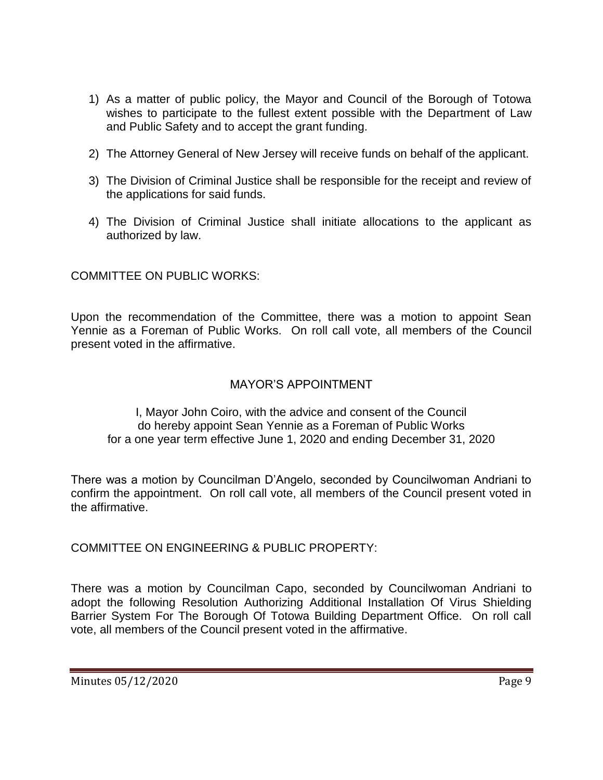- 1) As a matter of public policy, the Mayor and Council of the Borough of Totowa wishes to participate to the fullest extent possible with the Department of Law and Public Safety and to accept the grant funding.
- 2) The Attorney General of New Jersey will receive funds on behalf of the applicant.
- 3) The Division of Criminal Justice shall be responsible for the receipt and review of the applications for said funds.
- 4) The Division of Criminal Justice shall initiate allocations to the applicant as authorized by law.

COMMITTEE ON PUBLIC WORKS:

Upon the recommendation of the Committee, there was a motion to appoint Sean Yennie as a Foreman of Public Works. On roll call vote, all members of the Council present voted in the affirmative.

## MAYOR'S APPOINTMENT

I, Mayor John Coiro, with the advice and consent of the Council do hereby appoint Sean Yennie as a Foreman of Public Works for a one year term effective June 1, 2020 and ending December 31, 2020

There was a motion by Councilman D'Angelo, seconded by Councilwoman Andriani to confirm the appointment. On roll call vote, all members of the Council present voted in the affirmative.

COMMITTEE ON ENGINEERING & PUBLIC PROPERTY:

There was a motion by Councilman Capo, seconded by Councilwoman Andriani to adopt the following Resolution Authorizing Additional Installation Of Virus Shielding Barrier System For The Borough Of Totowa Building Department Office. On roll call vote, all members of the Council present voted in the affirmative.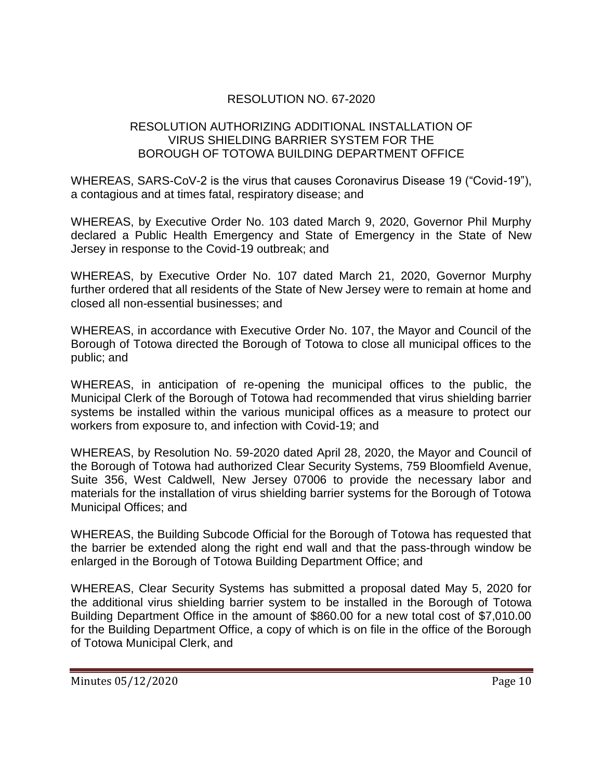## RESOLUTION NO. 67-2020

### RESOLUTION AUTHORIZING ADDITIONAL INSTALLATION OF VIRUS SHIELDING BARRIER SYSTEM FOR THE BOROUGH OF TOTOWA BUILDING DEPARTMENT OFFICE

WHEREAS, SARS-CoV-2 is the virus that causes Coronavirus Disease 19 ("Covid-19"), a contagious and at times fatal, respiratory disease; and

WHEREAS, by Executive Order No. 103 dated March 9, 2020, Governor Phil Murphy declared a Public Health Emergency and State of Emergency in the State of New Jersey in response to the Covid-19 outbreak; and

WHEREAS, by Executive Order No. 107 dated March 21, 2020, Governor Murphy further ordered that all residents of the State of New Jersey were to remain at home and closed all non-essential businesses; and

WHEREAS, in accordance with Executive Order No. 107, the Mayor and Council of the Borough of Totowa directed the Borough of Totowa to close all municipal offices to the public; and

WHEREAS, in anticipation of re-opening the municipal offices to the public, the Municipal Clerk of the Borough of Totowa had recommended that virus shielding barrier systems be installed within the various municipal offices as a measure to protect our workers from exposure to, and infection with Covid-19; and

WHEREAS, by Resolution No. 59-2020 dated April 28, 2020, the Mayor and Council of the Borough of Totowa had authorized Clear Security Systems, 759 Bloomfield Avenue, Suite 356, West Caldwell, New Jersey 07006 to provide the necessary labor and materials for the installation of virus shielding barrier systems for the Borough of Totowa Municipal Offices; and

WHEREAS, the Building Subcode Official for the Borough of Totowa has requested that the barrier be extended along the right end wall and that the pass-through window be enlarged in the Borough of Totowa Building Department Office; and

WHEREAS, Clear Security Systems has submitted a proposal dated May 5, 2020 for the additional virus shielding barrier system to be installed in the Borough of Totowa Building Department Office in the amount of \$860.00 for a new total cost of \$7,010.00 for the Building Department Office, a copy of which is on file in the office of the Borough of Totowa Municipal Clerk, and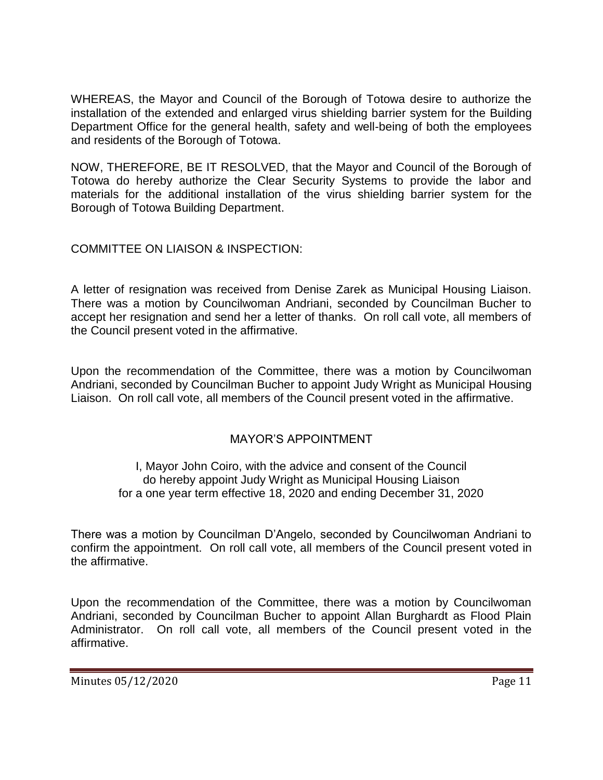WHEREAS, the Mayor and Council of the Borough of Totowa desire to authorize the installation of the extended and enlarged virus shielding barrier system for the Building Department Office for the general health, safety and well-being of both the employees and residents of the Borough of Totowa.

NOW, THEREFORE, BE IT RESOLVED, that the Mayor and Council of the Borough of Totowa do hereby authorize the Clear Security Systems to provide the labor and materials for the additional installation of the virus shielding barrier system for the Borough of Totowa Building Department.

## COMMITTEE ON LIAISON & INSPECTION:

A letter of resignation was received from Denise Zarek as Municipal Housing Liaison. There was a motion by Councilwoman Andriani, seconded by Councilman Bucher to accept her resignation and send her a letter of thanks. On roll call vote, all members of the Council present voted in the affirmative.

Upon the recommendation of the Committee, there was a motion by Councilwoman Andriani, seconded by Councilman Bucher to appoint Judy Wright as Municipal Housing Liaison. On roll call vote, all members of the Council present voted in the affirmative.

## MAYOR'S APPOINTMENT

### I, Mayor John Coiro, with the advice and consent of the Council do hereby appoint Judy Wright as Municipal Housing Liaison for a one year term effective 18, 2020 and ending December 31, 2020

There was a motion by Councilman D'Angelo, seconded by Councilwoman Andriani to confirm the appointment. On roll call vote, all members of the Council present voted in the affirmative.

Upon the recommendation of the Committee, there was a motion by Councilwoman Andriani, seconded by Councilman Bucher to appoint Allan Burghardt as Flood Plain Administrator. On roll call vote, all members of the Council present voted in the affirmative.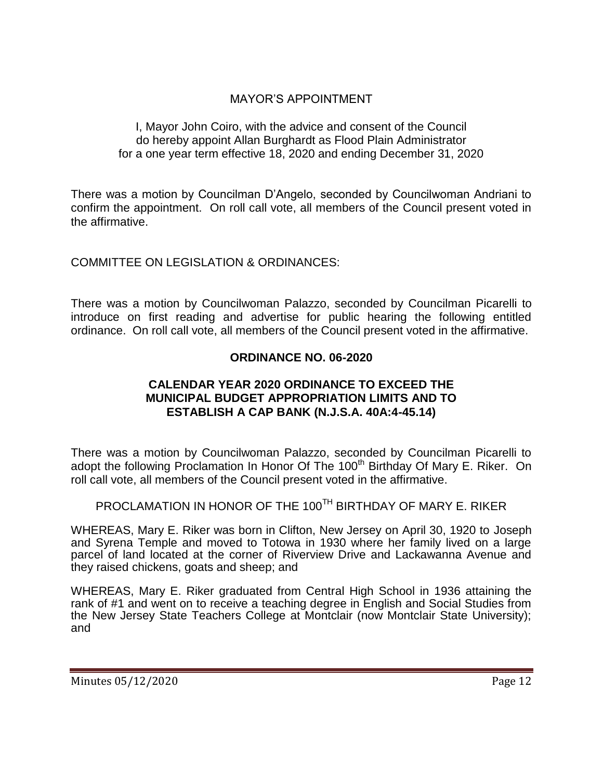## MAYOR'S APPOINTMENT

### I, Mayor John Coiro, with the advice and consent of the Council do hereby appoint Allan Burghardt as Flood Plain Administrator for a one year term effective 18, 2020 and ending December 31, 2020

There was a motion by Councilman D'Angelo, seconded by Councilwoman Andriani to confirm the appointment. On roll call vote, all members of the Council present voted in the affirmative.

COMMITTEE ON LEGISLATION & ORDINANCES:

There was a motion by Councilwoman Palazzo, seconded by Councilman Picarelli to introduce on first reading and advertise for public hearing the following entitled ordinance. On roll call vote, all members of the Council present voted in the affirmative.

## **ORDINANCE NO. 06-2020**

### **CALENDAR YEAR 2020 ORDINANCE TO EXCEED THE MUNICIPAL BUDGET APPROPRIATION LIMITS AND TO ESTABLISH A CAP BANK (N.J.S.A. 40A:4-45.14)**

There was a motion by Councilwoman Palazzo, seconded by Councilman Picarelli to adopt the following Proclamation In Honor Of The 100<sup>th</sup> Birthday Of Mary E. Riker. On roll call vote, all members of the Council present voted in the affirmative.

# PROCLAMATION IN HONOR OF THE 100<sup>TH</sup> BIRTHDAY OF MARY E. RIKER

WHEREAS, Mary E. Riker was born in Clifton, New Jersey on April 30, 1920 to Joseph and Syrena Temple and moved to Totowa in 1930 where her family lived on a large parcel of land located at the corner of Riverview Drive and Lackawanna Avenue and they raised chickens, goats and sheep; and

WHEREAS, Mary E. Riker graduated from Central High School in 1936 attaining the rank of #1 and went on to receive a teaching degree in English and Social Studies from the New Jersey State Teachers College at Montclair (now Montclair State University); and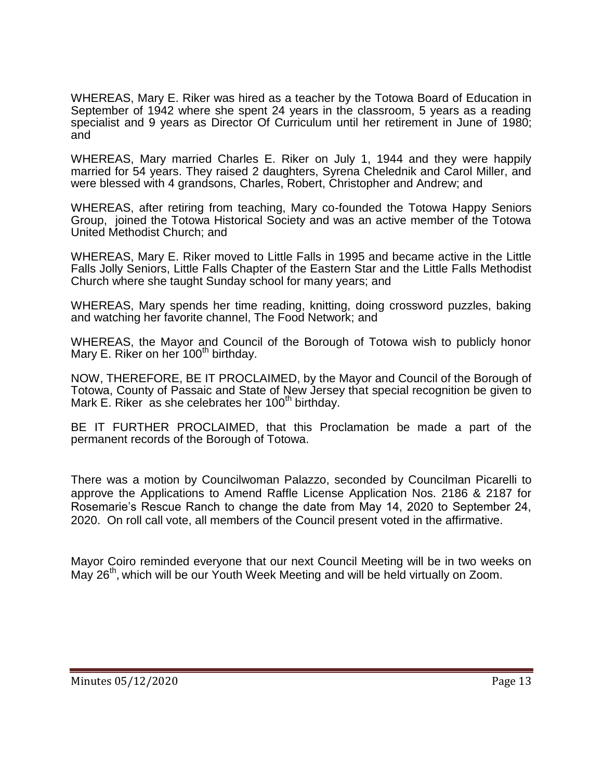WHEREAS, Mary E. Riker was hired as a teacher by the Totowa Board of Education in September of 1942 where she spent 24 years in the classroom, 5 years as a reading specialist and 9 years as Director Of Curriculum until her retirement in June of 1980; and

WHEREAS, Mary married Charles E. Riker on July 1, 1944 and they were happily married for 54 years. They raised 2 daughters, Syrena Chelednik and Carol Miller, and were blessed with 4 grandsons, Charles, Robert, Christopher and Andrew; and

WHEREAS, after retiring from teaching, Mary co-founded the Totowa Happy Seniors Group, joined the Totowa Historical Society and was an active member of the Totowa United Methodist Church; and

WHEREAS, Mary E. Riker moved to Little Falls in 1995 and became active in the Little Falls Jolly Seniors, Little Falls Chapter of the Eastern Star and the Little Falls Methodist Church where she taught Sunday school for many years; and

WHEREAS, Mary spends her time reading, knitting, doing crossword puzzles, baking and watching her favorite channel, The Food Network; and

WHEREAS, the Mayor and Council of the Borough of Totowa wish to publicly honor Mary E. Riker on her  $100<sup>th</sup>$  birthday.

NOW, THEREFORE, BE IT PROCLAIMED, by the Mayor and Council of the Borough of Totowa, County of Passaic and State of New Jersey that special recognition be given to Mark E. Riker as she celebrates her 100<sup>th</sup> birthday.

BE IT FURTHER PROCLAIMED, that this Proclamation be made a part of the permanent records of the Borough of Totowa.

There was a motion by Councilwoman Palazzo, seconded by Councilman Picarelli to approve the Applications to Amend Raffle License Application Nos. 2186 & 2187 for Rosemarie's Rescue Ranch to change the date from May 14, 2020 to September 24, 2020. On roll call vote, all members of the Council present voted in the affirmative.

Mayor Coiro reminded everyone that our next Council Meeting will be in two weeks on May 26<sup>th</sup>, which will be our Youth Week Meeting and will be held virtually on Zoom.